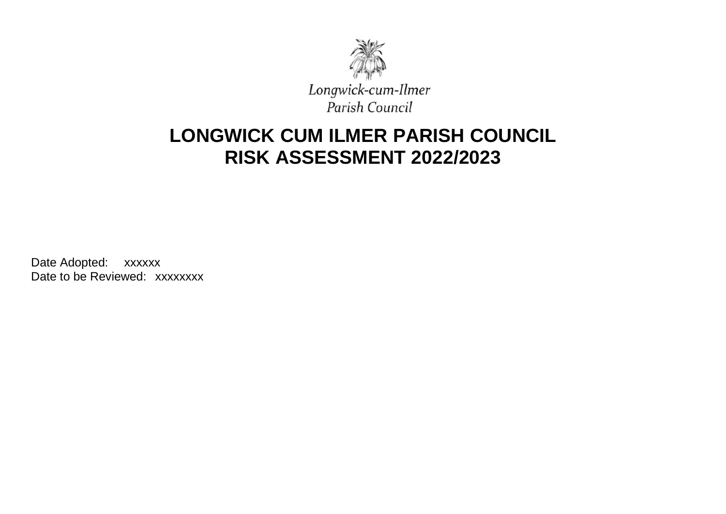

# **LONGWICK CUM ILMER PARISH COUNCIL RISK ASSESSMENT 2022/2023**

Date Adopted: xxxxxx Date to be Reviewed: xxxxxxxx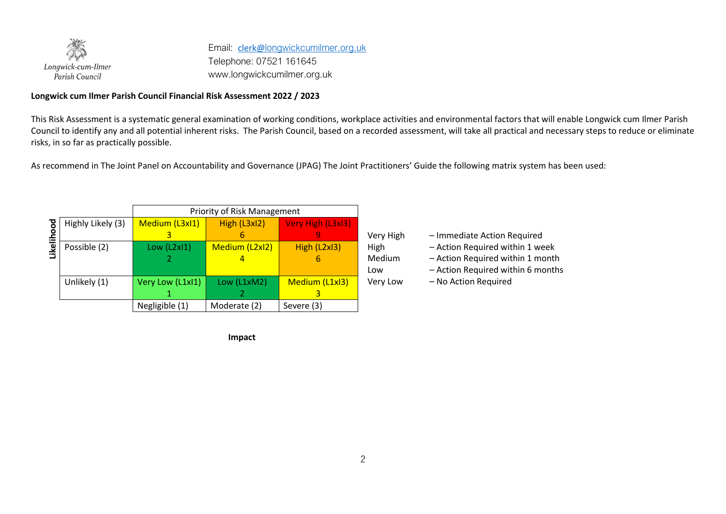

Email: [clerk@](mailto:clerk@)longwickcumilmer.org.uk Telephone: 07521 161645 www.longwickcumilmer.org.uk

#### **Longwick cum Ilmer Parish Council Financial Risk Assessment 2022 / 2023**

This Risk Assessment is a systematic general examination of working conditions, workplace activities and environmental factors that will enable Longwick cum Ilmer Parish Council to identify any and all potential inherent risks. The Parish Council, based on a recorded assessment, will take all practical and necessary steps to reduce or eliminate risks, in so far as practically possible.

As recommend in The Joint Panel on Accountability and Governance (JPAG) The Joint Practitioners' Guide the following matrix system has been used:

|       |                   | Priority of Risk Management |                |                   |  |  |  |  |  |  |
|-------|-------------------|-----------------------------|----------------|-------------------|--|--|--|--|--|--|
| ह     | Highly Likely (3) | Medium (L3xI1)              | High (L3xl2)   | Very High (L3xI3) |  |  |  |  |  |  |
| ŏ     |                   |                             |                |                   |  |  |  |  |  |  |
| Likel | Possible (2)      | Low (L2xI1)                 | Medium (L2xI2) | High (L2xI3)      |  |  |  |  |  |  |
|       |                   |                             |                |                   |  |  |  |  |  |  |
|       |                   |                             |                |                   |  |  |  |  |  |  |
|       | Unlikely (1)      | Very Low (L1xl1)            | Low (L1xM2)    | Medium (L1xI3)    |  |  |  |  |  |  |
|       |                   |                             |                |                   |  |  |  |  |  |  |
|       |                   | Negligible (1)              | Moderate (2)   | Severe (3)        |  |  |  |  |  |  |

**Impact** 

Very High – Immediate Action Required

High – Action Required within 1 week

Medium – Action Required within 1 month

Low – Action Required within 6 months

Very Low – No Action Required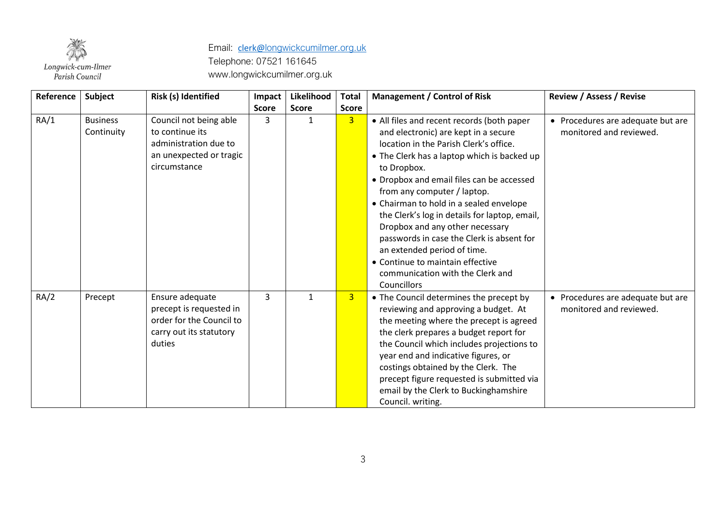

| Reference | Subject                       | Risk (s) Identified                                                                                           | Impact       | Likelihood   | <b>Total</b>   | <b>Management / Control of Risk</b>                                                                                                                                                                                                                                                                                                                                                                                                                                                                                                                                      | <b>Review / Assess / Revise</b>                              |
|-----------|-------------------------------|---------------------------------------------------------------------------------------------------------------|--------------|--------------|----------------|--------------------------------------------------------------------------------------------------------------------------------------------------------------------------------------------------------------------------------------------------------------------------------------------------------------------------------------------------------------------------------------------------------------------------------------------------------------------------------------------------------------------------------------------------------------------------|--------------------------------------------------------------|
|           |                               |                                                                                                               | <b>Score</b> | <b>Score</b> | <b>Score</b>   |                                                                                                                                                                                                                                                                                                                                                                                                                                                                                                                                                                          |                                                              |
| RA/1      | <b>Business</b><br>Continuity | Council not being able<br>to continue its<br>administration due to<br>an unexpected or tragic<br>circumstance | 3            | 1            | $\overline{3}$ | • All files and recent records (both paper<br>and electronic) are kept in a secure<br>location in the Parish Clerk's office.<br>• The Clerk has a laptop which is backed up<br>to Dropbox.<br>• Dropbox and email files can be accessed<br>from any computer / laptop.<br>• Chairman to hold in a sealed envelope<br>the Clerk's log in details for laptop, email,<br>Dropbox and any other necessary<br>passwords in case the Clerk is absent for<br>an extended period of time.<br>• Continue to maintain effective<br>communication with the Clerk and<br>Councillors | • Procedures are adequate but are<br>monitored and reviewed. |
| RA/2      | Precept                       | Ensure adequate<br>precept is requested in<br>order for the Council to<br>carry out its statutory<br>duties   | 3            | $\mathbf{1}$ | $\overline{3}$ | • The Council determines the precept by<br>reviewing and approving a budget. At<br>the meeting where the precept is agreed<br>the clerk prepares a budget report for<br>the Council which includes projections to<br>year end and indicative figures, or<br>costings obtained by the Clerk. The<br>precept figure requested is submitted via<br>email by the Clerk to Buckinghamshire<br>Council. writing.                                                                                                                                                               | • Procedures are adequate but are<br>monitored and reviewed. |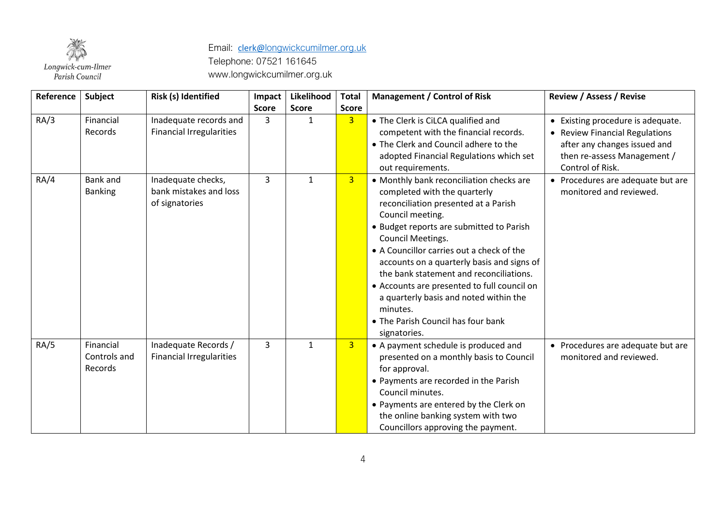

| Reference | Subject                              | Risk (s) Identified                                            | Impact       | Likelihood   | <b>Total</b>   | <b>Management / Control of Risk</b>                                                                                                                                                                                                                                                                                                                                                                                                                                                                    | <b>Review / Assess / Revise</b>                                                                                                                        |
|-----------|--------------------------------------|----------------------------------------------------------------|--------------|--------------|----------------|--------------------------------------------------------------------------------------------------------------------------------------------------------------------------------------------------------------------------------------------------------------------------------------------------------------------------------------------------------------------------------------------------------------------------------------------------------------------------------------------------------|--------------------------------------------------------------------------------------------------------------------------------------------------------|
|           |                                      |                                                                | <b>Score</b> | <b>Score</b> | <b>Score</b>   |                                                                                                                                                                                                                                                                                                                                                                                                                                                                                                        |                                                                                                                                                        |
| RA/3      | Financial<br>Records                 | Inadequate records and<br><b>Financial Irregularities</b>      | 3            | $\mathbf{1}$ | 3 <sup>1</sup> | • The Clerk is CiLCA qualified and<br>competent with the financial records.<br>• The Clerk and Council adhere to the<br>adopted Financial Regulations which set<br>out requirements.                                                                                                                                                                                                                                                                                                                   | • Existing procedure is adequate.<br>• Review Financial Regulations<br>after any changes issued and<br>then re-assess Management /<br>Control of Risk. |
| RA/4      | <b>Bank</b> and<br><b>Banking</b>    | Inadequate checks,<br>bank mistakes and loss<br>of signatories | 3            | $\mathbf{1}$ | 3 <sup>2</sup> | • Monthly bank reconciliation checks are<br>completed with the quarterly<br>reconciliation presented at a Parish<br>Council meeting.<br>• Budget reports are submitted to Parish<br>Council Meetings.<br>• A Councillor carries out a check of the<br>accounts on a quarterly basis and signs of<br>the bank statement and reconciliations.<br>• Accounts are presented to full council on<br>a quarterly basis and noted within the<br>minutes.<br>• The Parish Council has four bank<br>signatories. | • Procedures are adequate but are<br>monitored and reviewed.                                                                                           |
| RA/5      | Financial<br>Controls and<br>Records | Inadequate Records /<br><b>Financial Irregularities</b>        | 3            | $\mathbf{1}$ | 3 <sup>2</sup> | • A payment schedule is produced and<br>presented on a monthly basis to Council<br>for approval.<br>• Payments are recorded in the Parish<br>Council minutes.<br>• Payments are entered by the Clerk on<br>the online banking system with two<br>Councillors approving the payment.                                                                                                                                                                                                                    | • Procedures are adequate but are<br>monitored and reviewed.                                                                                           |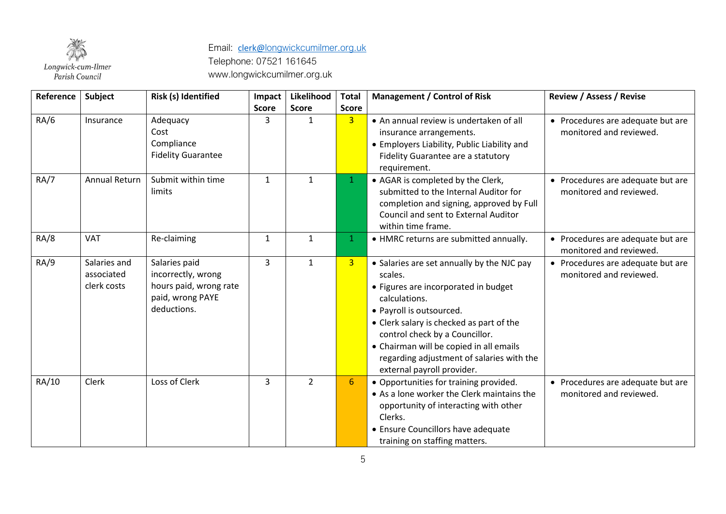

| Reference   | Subject                                   | Risk (s) Identified                                                                              | Impact       | Likelihood     | <b>Total</b>   | <b>Management / Control of Risk</b>                                                                                                                                                                                                                                                                                                            | <b>Review / Assess / Revise</b>                              |
|-------------|-------------------------------------------|--------------------------------------------------------------------------------------------------|--------------|----------------|----------------|------------------------------------------------------------------------------------------------------------------------------------------------------------------------------------------------------------------------------------------------------------------------------------------------------------------------------------------------|--------------------------------------------------------------|
|             |                                           |                                                                                                  | <b>Score</b> | <b>Score</b>   | <b>Score</b>   |                                                                                                                                                                                                                                                                                                                                                |                                                              |
| RA/6        | Insurance                                 | Adequacy<br>Cost<br>Compliance<br><b>Fidelity Guarantee</b>                                      | 3            | $\mathbf{1}$   | 3 <sup>1</sup> | • An annual review is undertaken of all<br>insurance arrangements.<br>• Employers Liability, Public Liability and<br>Fidelity Guarantee are a statutory<br>requirement.                                                                                                                                                                        | • Procedures are adequate but are<br>monitored and reviewed. |
| RA/7        | Annual Return                             | Submit within time<br>limits                                                                     | $\mathbf{1}$ | $\mathbf{1}$   | $\mathbf{1}$   | • AGAR is completed by the Clerk,<br>submitted to the Internal Auditor for<br>completion and signing, approved by Full<br>Council and sent to External Auditor<br>within time frame.                                                                                                                                                           | • Procedures are adequate but are<br>monitored and reviewed. |
| <b>RA/8</b> | VAT                                       | Re-claiming                                                                                      | 1            | $\mathbf{1}$   | $\mathbf{1}$   | • HMRC returns are submitted annually.                                                                                                                                                                                                                                                                                                         | • Procedures are adequate but are<br>monitored and reviewed. |
| RA/9        | Salaries and<br>associated<br>clerk costs | Salaries paid<br>incorrectly, wrong<br>hours paid, wrong rate<br>paid, wrong PAYE<br>deductions. | 3            | $\mathbf{1}$   | 3 <sup>1</sup> | • Salaries are set annually by the NJC pay<br>scales.<br>• Figures are incorporated in budget<br>calculations.<br>• Payroll is outsourced.<br>• Clerk salary is checked as part of the<br>control check by a Councillor.<br>• Chairman will be copied in all emails<br>regarding adjustment of salaries with the<br>external payroll provider. | • Procedures are adequate but are<br>monitored and reviewed. |
| RA/10       | Clerk                                     | Loss of Clerk                                                                                    | 3            | $\overline{2}$ | 6              | • Opportunities for training provided.<br>• As a lone worker the Clerk maintains the<br>opportunity of interacting with other<br>Clerks.<br>• Ensure Councillors have adequate<br>training on staffing matters.                                                                                                                                | • Procedures are adequate but are<br>monitored and reviewed. |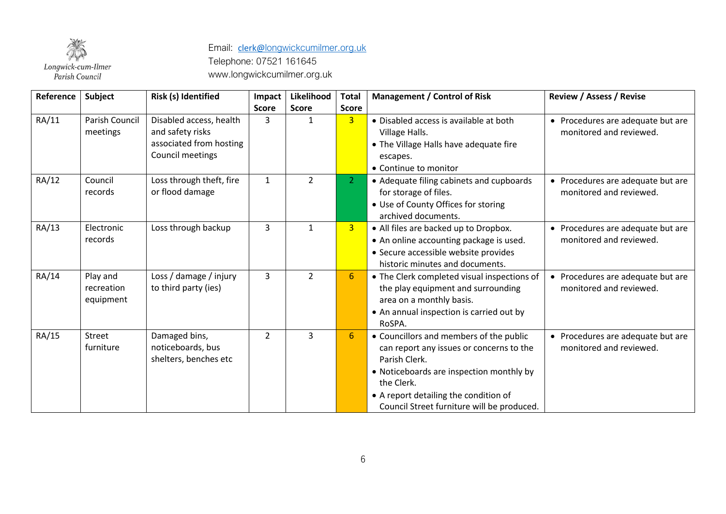

| Reference | Subject                             | Risk (s) Identified                                                                        | Impact         | Likelihood     | <b>Total</b>     | <b>Management / Control of Risk</b>                                                                                                                                                                                                                   | <b>Review / Assess / Revise</b>                              |
|-----------|-------------------------------------|--------------------------------------------------------------------------------------------|----------------|----------------|------------------|-------------------------------------------------------------------------------------------------------------------------------------------------------------------------------------------------------------------------------------------------------|--------------------------------------------------------------|
|           |                                     |                                                                                            | <b>Score</b>   | <b>Score</b>   | <b>Score</b>     |                                                                                                                                                                                                                                                       |                                                              |
| RA/11     | Parish Council<br>meetings          | Disabled access, health<br>and safety risks<br>associated from hosting<br>Council meetings | 3              | $\mathbf{1}$   | $\overline{3}$   | • Disabled access is available at both<br>Village Halls.<br>• The Village Halls have adequate fire<br>escapes.<br>• Continue to monitor                                                                                                               | • Procedures are adequate but are<br>monitored and reviewed. |
| RA/12     | Council<br>records                  | Loss through theft, fire<br>or flood damage                                                | $\mathbf{1}$   | $\overline{2}$ | $\overline{2}$   | • Adequate filing cabinets and cupboards<br>for storage of files.<br>• Use of County Offices for storing<br>archived documents.                                                                                                                       | • Procedures are adequate but are<br>monitored and reviewed. |
| RA/13     | Electronic<br>records               | Loss through backup                                                                        | 3              | $\mathbf{1}$   | 3 <sup>1</sup>   | • All files are backed up to Dropbox.<br>• An online accounting package is used.<br>• Secure accessible website provides<br>historic minutes and documents.                                                                                           | • Procedures are adequate but are<br>monitored and reviewed. |
| RA/14     | Play and<br>recreation<br>equipment | Loss / damage / injury<br>to third party (ies)                                             | 3              | $\overline{2}$ | $6 \overline{6}$ | • The Clerk completed visual inspections of<br>the play equipment and surrounding<br>area on a monthly basis.<br>• An annual inspection is carried out by<br>RoSPA.                                                                                   | • Procedures are adequate but are<br>monitored and reviewed. |
| RA/15     | Street<br>furniture                 | Damaged bins,<br>noticeboards, bus<br>shelters, benches etc                                | $\overline{2}$ | 3              | $6 \overline{6}$ | • Councillors and members of the public<br>can report any issues or concerns to the<br>Parish Clerk.<br>• Noticeboards are inspection monthly by<br>the Clerk.<br>• A report detailing the condition of<br>Council Street furniture will be produced. | • Procedures are adequate but are<br>monitored and reviewed. |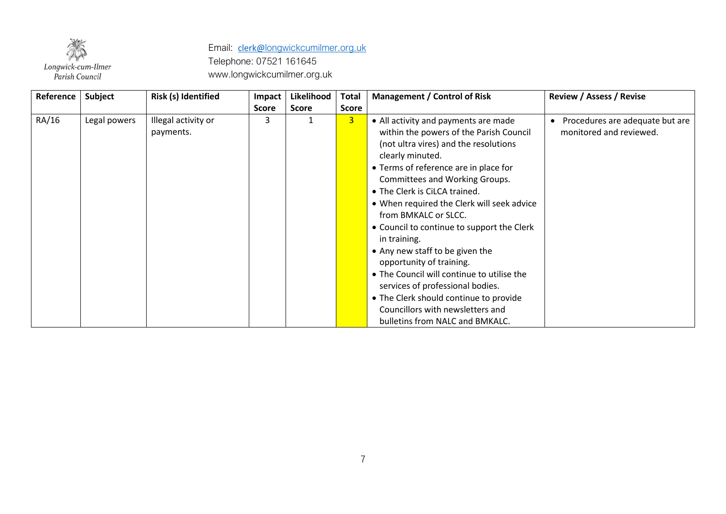

| Reference | Subject      | Risk (s) Identified              | Impact       | Likelihood   | Total          | <b>Management / Control of Risk</b>                                                                                                                                                                                                                                                                                                                                                                                                                                                                                                                                                                                                                                   | <b>Review / Assess / Revise</b>                            |
|-----------|--------------|----------------------------------|--------------|--------------|----------------|-----------------------------------------------------------------------------------------------------------------------------------------------------------------------------------------------------------------------------------------------------------------------------------------------------------------------------------------------------------------------------------------------------------------------------------------------------------------------------------------------------------------------------------------------------------------------------------------------------------------------------------------------------------------------|------------------------------------------------------------|
|           |              |                                  | <b>Score</b> | <b>Score</b> | <b>Score</b>   |                                                                                                                                                                                                                                                                                                                                                                                                                                                                                                                                                                                                                                                                       |                                                            |
| RA/16     | Legal powers | Illegal activity or<br>payments. | 3            |              | $\overline{3}$ | • All activity and payments are made<br>within the powers of the Parish Council<br>(not ultra vires) and the resolutions<br>clearly minuted.<br>• Terms of reference are in place for<br><b>Committees and Working Groups.</b><br>• The Clerk is CiLCA trained.<br>• When required the Clerk will seek advice<br>from BMKALC or SLCC.<br>• Council to continue to support the Clerk<br>in training.<br>• Any new staff to be given the<br>opportunity of training.<br>• The Council will continue to utilise the<br>services of professional bodies.<br>• The Clerk should continue to provide<br>Councillors with newsletters and<br>bulletins from NALC and BMKALC. | Procedures are adequate but are<br>monitored and reviewed. |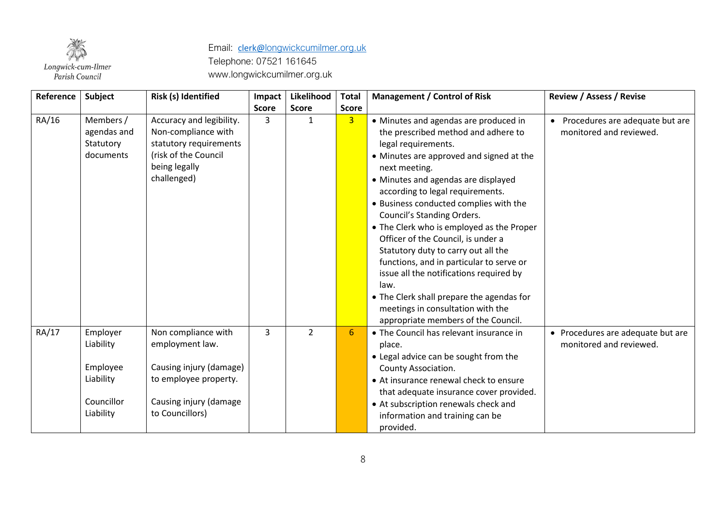

| Reference | Subject                                                                   | Risk (s) Identified                                                                                                                     | Impact       | Likelihood     | <b>Total</b>   | <b>Management / Control of Risk</b>                                                                                                                                                                                                                                                                                                                                                                                                                                                                                                                                                                                                                                   | <b>Review / Assess / Revise</b>                              |
|-----------|---------------------------------------------------------------------------|-----------------------------------------------------------------------------------------------------------------------------------------|--------------|----------------|----------------|-----------------------------------------------------------------------------------------------------------------------------------------------------------------------------------------------------------------------------------------------------------------------------------------------------------------------------------------------------------------------------------------------------------------------------------------------------------------------------------------------------------------------------------------------------------------------------------------------------------------------------------------------------------------------|--------------------------------------------------------------|
|           |                                                                           |                                                                                                                                         | <b>Score</b> | <b>Score</b>   | <b>Score</b>   |                                                                                                                                                                                                                                                                                                                                                                                                                                                                                                                                                                                                                                                                       |                                                              |
| RA/16     | Members /<br>agendas and<br>Statutory<br>documents                        | Accuracy and legibility.<br>Non-compliance with<br>statutory requirements<br>(risk of the Council<br>being legally<br>challenged)       | 3            | $\mathbf{1}$   | $\overline{3}$ | • Minutes and agendas are produced in<br>the prescribed method and adhere to<br>legal requirements.<br>• Minutes are approved and signed at the<br>next meeting.<br>• Minutes and agendas are displayed<br>according to legal requirements.<br>• Business conducted complies with the<br>Council's Standing Orders.<br>• The Clerk who is employed as the Proper<br>Officer of the Council, is under a<br>Statutory duty to carry out all the<br>functions, and in particular to serve or<br>issue all the notifications required by<br>law.<br>• The Clerk shall prepare the agendas for<br>meetings in consultation with the<br>appropriate members of the Council. | • Procedures are adequate but are<br>monitored and reviewed. |
| RA/17     | Employer<br>Liability<br>Employee<br>Liability<br>Councillor<br>Liability | Non compliance with<br>employment law.<br>Causing injury (damage)<br>to employee property.<br>Causing injury (damage<br>to Councillors) | 3            | $\overline{2}$ | 6              | • The Council has relevant insurance in<br>place.<br>• Legal advice can be sought from the<br>County Association.<br>• At insurance renewal check to ensure<br>that adequate insurance cover provided.<br>• At subscription renewals check and<br>information and training can be<br>provided.                                                                                                                                                                                                                                                                                                                                                                        | • Procedures are adequate but are<br>monitored and reviewed. |